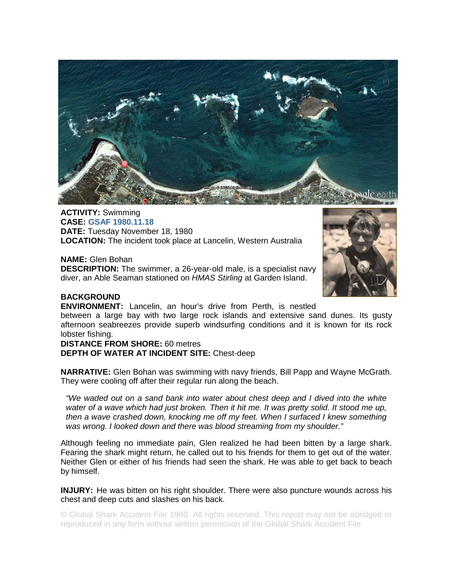

**ACTIVITY:** Swimming **CASE: GSAF 1980.11.18 DATE:** Tuesday November 18, 1980 **LOCATION:** The incident took place at Lancelin, Western Australia

**NAME:** Glen Bohan **DESCRIPTION:** The swimmer, a 26-year-old male, is a specialist navy diver, an Able Seaman stationed on *HMAS Stirling* at Garden Island.



## **BACKGROUND**

**ENVIRONMENT:** Lancelin, an hour's drive from Perth, is nestled

between a large bay with two large rock islands and extensive sand dunes. Its gusty afternoon seabreezes provide superb windsurfing conditions and it is known for its rock lobster fishing.

## **DISTANCE FROM SHORE:** 60 metres

**DEPTH OF WATER AT INCIDENT SITE:** Chest-deep

**NARRATIVE:** Glen Bohan was swimming with navy friends, Bill Papp and Wayne McGrath. They were cooling off after their regular run along the beach.

*"We waded out on a sand bank into water about chest deep and I dived into the white*  water of a wave which had just broken. Then it hit me. It was pretty solid. It stood me up, *then a wave crashed down, knocking me off my feet. When I surfaced I knew something was wrong. I looked down and there was blood streaming from my shoulder."* 

Although feeling no immediate pain, Glen realized he had been bitten by a large shark. Fearing the shark might return, he called out to his friends for them to get out of the water. Neither Glen or either of his friends had seen the shark. He was able to get back to beach by himself.

**INJURY:** He was bitten on his right shoulder. There were also puncture wounds across his chest and deep cuts and slashes on his back.

© Global Shark Accident File 1980. All rights reserved. This report may not be abridged or reproduced in any form without written permission of the Global Shark Accident File.